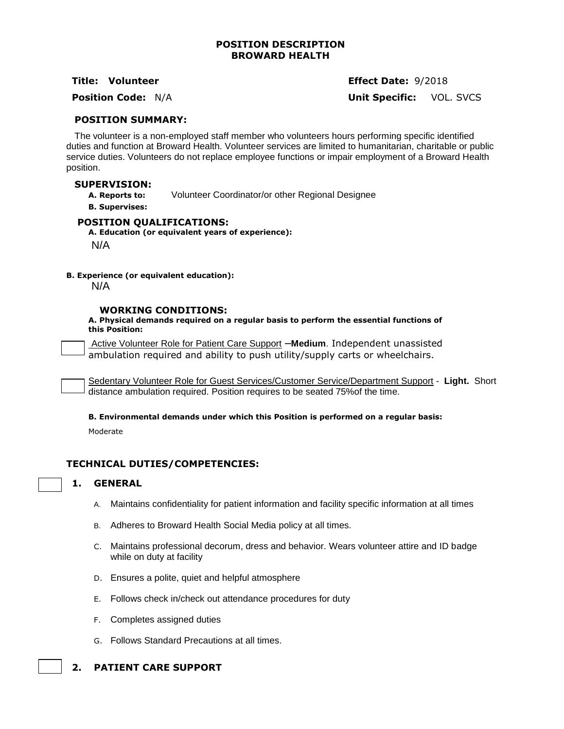## **POSITION DESCRIPTION BROWARD HEALTH**

**Title: Volunteer Effect Date:** 9/2018

**Position Code:** N/A **Unit Specific:** VOL. SVCS

### **POSITION SUMMARY:**

The volunteer is a non-employed staff member who volunteers hours performing specific identified duties and function at Broward Health. Volunteer services are limited to humanitarian, charitable or public service duties. Volunteers do not replace employee functions or impair employment of a Broward Health position.

### **SUPERVISION:**

**A. Reports to:** Volunteer Coordinator/or other Regional Designee

**B. Supervises:**

## **POSITION QUALIFICATIONS:**

**A. Education (or equivalent years of experience):**

N/A

**B. Experience (or equivalent education):**

N/A

#### **WORKING CONDITIONS:**

**A. Physical demands required on a regular basis to perform the essential functions of this Position:**

Active Volunteer Role for Patient Care Support –**Medium**. Independent unassisted ambulation required and ability to push utility/supply carts or wheelchairs.

Sedentary Volunteer Role for Guest Services/Customer Service/Department Support - **Light.** Short distance ambulation required. Position requires to be seated 75%of the time.

**B. Environmental demands under which this Position is performed on a regular basis:**

Moderate

# **TECHNICAL DUTIES/COMPETENCIES:**

### **1. GENERAL**

- A. Maintains confidentiality for patient information and facility specific information at all times
- B. Adheres to Broward Health Social Media policy at all times.
- C. Maintains professional decorum, dress and behavior. Wears volunteer attire and ID badge while on duty at facility
- D. Ensures a polite, quiet and helpful atmosphere
- E. Follows check in/check out attendance procedures for duty
- F. Completes assigned duties
- G. Follows Standard Precautions at all times.

# **2. PATIENT CARE SUPPORT**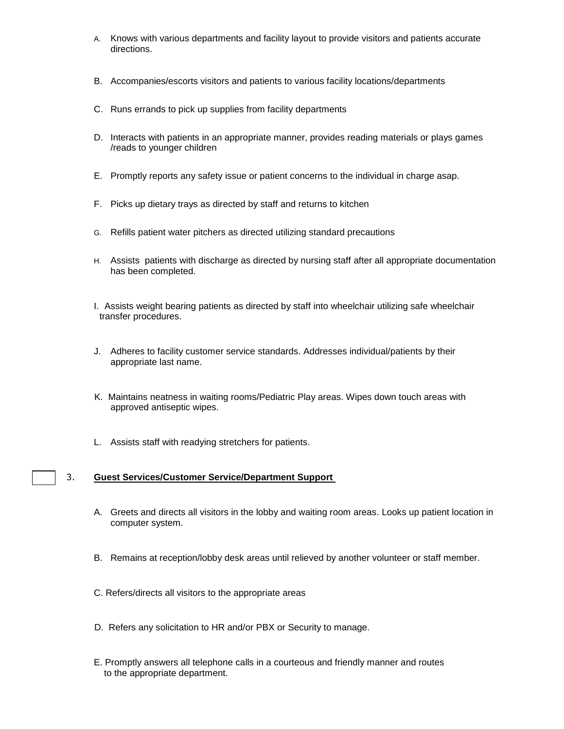- A. Knows with various departments and facility layout to provide visitors and patients accurate directions.
- B. Accompanies/escorts visitors and patients to various facility locations/departments
- C. Runs errands to pick up supplies from facility departments
- D. Interacts with patients in an appropriate manner, provides reading materials or plays games /reads to younger children
- E. Promptly reports any safety issue or patient concerns to the individual in charge asap.
- F. Picks up dietary trays as directed by staff and returns to kitchen
- G. Refills patient water pitchers as directed utilizing standard precautions
- H. Assists patients with discharge as directed by nursing staff after all appropriate documentation has been completed.
- I. Assists weight bearing patients as directed by staff into wheelchair utilizing safe wheelchair transfer procedures.
- J. Adheres to facility customer service standards. Addresses individual/patients by their appropriate last name.
- K. Maintains neatness in waiting rooms/Pediatric Play areas. Wipes down touch areas with approved antiseptic wipes.
- L. Assists staff with readying stretchers for patients.

## 3. **Guest Services/Customer Service/Department Support**

- A. Greets and directs all visitors in the lobby and waiting room areas. Looks up patient location in computer system.
- B. Remains at reception/lobby desk areas until relieved by another volunteer or staff member.
- C. Refers/directs all visitors to the appropriate areas
- D. Refers any solicitation to HR and/or PBX or Security to manage.
- E. Promptly answers all telephone calls in a courteous and friendly manner and routes to the appropriate department.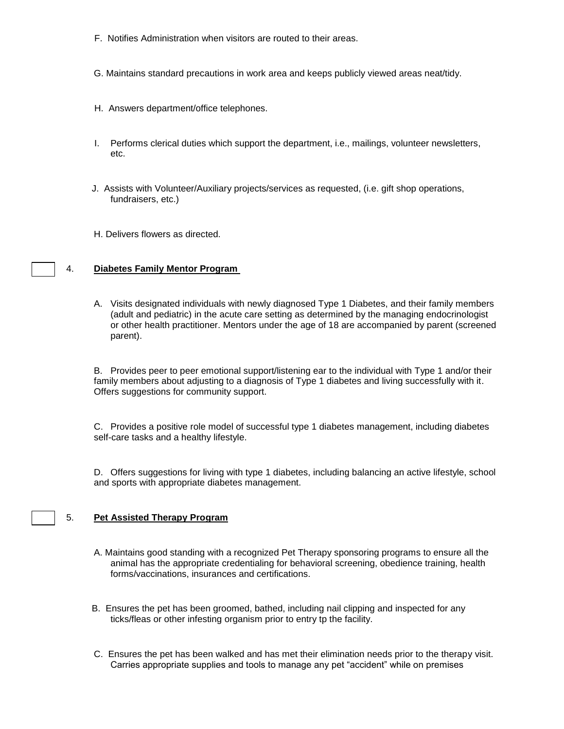- F. Notifies Administration when visitors are routed to their areas.
- G. Maintains standard precautions in work area and keeps publicly viewed areas neat/tidy.
- H. Answers department/office telephones.
- I. Performs clerical duties which support the department, i.e., mailings, volunteer newsletters, etc.
- J. Assists with Volunteer/Auxiliary projects/services as requested, (i.e. gift shop operations, fundraisers, etc.)
- H. Delivers flowers as directed.

#### 4. **Diabetes Family Mentor Program**

A. Visits designated individuals with newly diagnosed Type 1 Diabetes, and their family members (adult and pediatric) in the acute care setting as determined by the managing endocrinologist or other health practitioner. Mentors under the age of 18 are accompanied by parent (screened parent).

B. Provides peer to peer emotional support/listening ear to the individual with Type 1 and/or their family members about adjusting to a diagnosis of Type 1 diabetes and living successfully with it. Offers suggestions for community support.

C. Provides a positive role model of successful type 1 diabetes management, including diabetes self-care tasks and a healthy lifestyle.

D. Offers suggestions for living with type 1 diabetes, including balancing an active lifestyle, school and sports with appropriate diabetes management.

#### 5. **Pet Assisted Therapy Program**

- A. Maintains good standing with a recognized Pet Therapy sponsoring programs to ensure all the animal has the appropriate credentialing for behavioral screening, obedience training, health forms/vaccinations, insurances and certifications.
- B. Ensures the pet has been groomed, bathed, including nail clipping and inspected for any ticks/fleas or other infesting organism prior to entry tp the facility.
- C. Ensures the pet has been walked and has met their elimination needs prior to the therapy visit. Carries appropriate supplies and tools to manage any pet "accident" while on premises